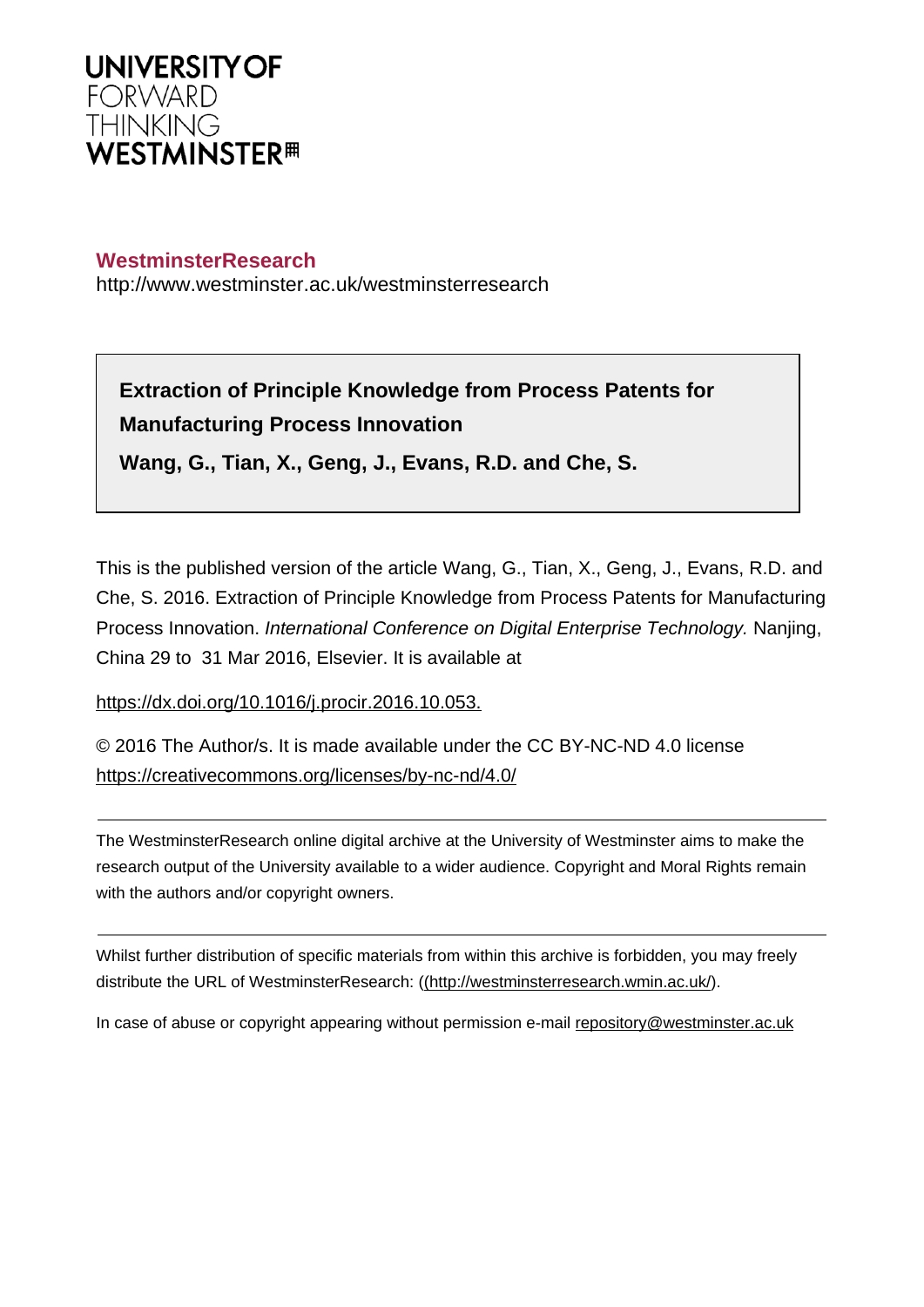

## **WestminsterResearch**

http://www.westminster.ac.uk/westminsterresearch

**Extraction of Principle Knowledge from Process Patents for Manufacturing Process Innovation**

**Wang, G., Tian, X., Geng, J., Evans, R.D. and Che, S.**

This is the published version of the article Wang, G., Tian, X., Geng, J., Evans, R.D. and Che, S. 2016. Extraction of Principle Knowledge from Process Patents for Manufacturing Process Innovation. International Conference on Digital Enterprise Technology. Nanjing, China 29 to 31 Mar 2016, Elsevier. It is available at

<https://dx.doi.org/10.1016/j.procir.2016.10.053.>

© 2016 The Author/s. It is made available under the CC BY-NC-ND 4.0 license <https://creativecommons.org/licenses/by-nc-nd/4.0/>

The WestminsterResearch online digital archive at the University of Westminster aims to make the research output of the University available to a wider audience. Copyright and Moral Rights remain with the authors and/or copyright owners.

Whilst further distribution of specific materials from within this archive is forbidden, you may freely distribute the URL of WestminsterResearch: [\(\(http://westminsterresearch.wmin.ac.uk/](http://westminsterresearch.wmin.ac.uk/)).

In case of abuse or copyright appearing without permission e-mail <repository@westminster.ac.uk>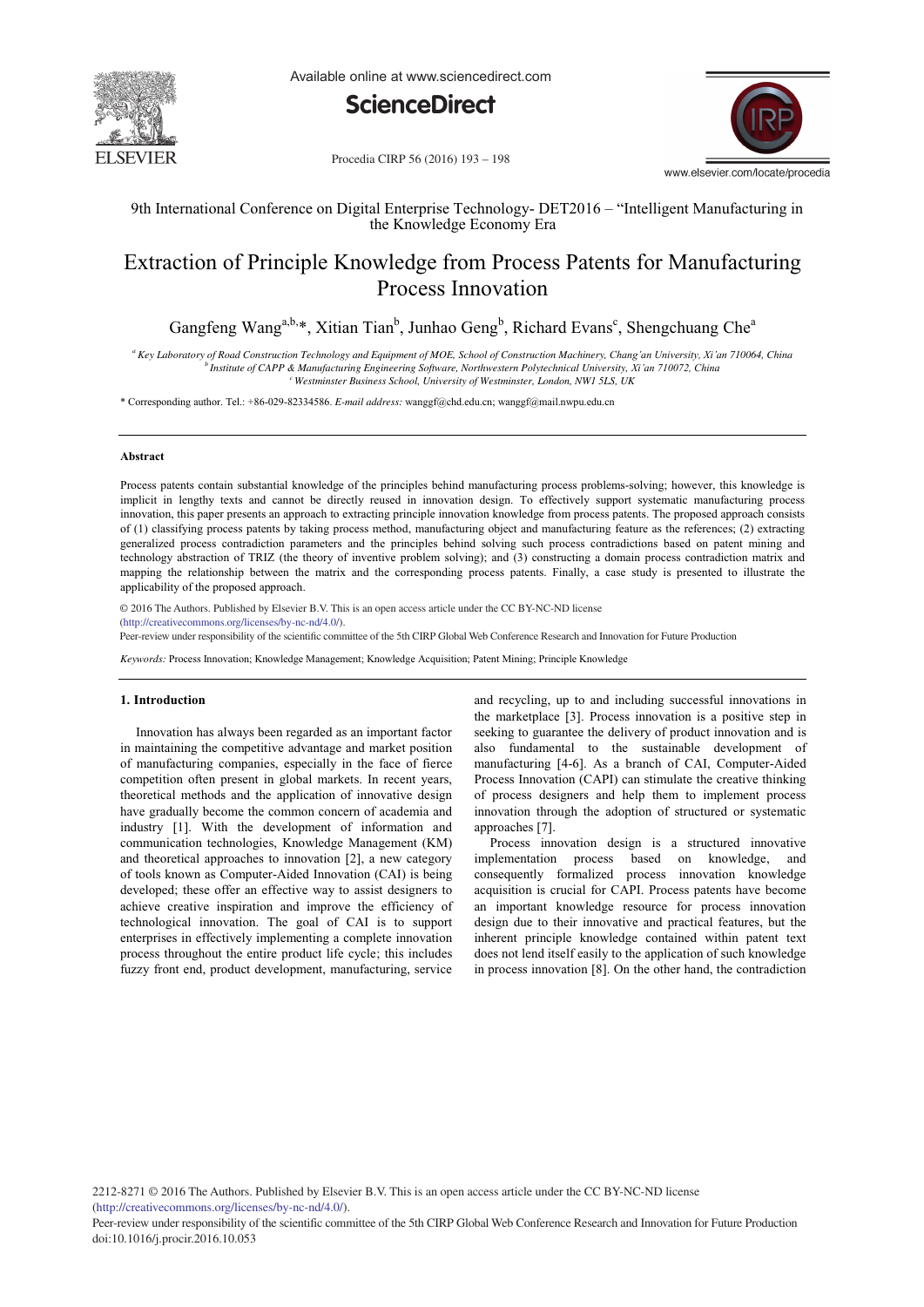

Available online at www.sciencedirect.com





Procedia CIRP 56 (2016) 193 - 198

9th International Conference on Digital Enterprise Technology- DET2016 – "Intelligent Manufacturing in the Knowledge Economy Era

# Extraction of Principle Knowledge from Process Patents for Manufacturing Process Innovation

Gangfeng Wang<sup>a,b,\*</sup>, Xitian Tian<sup>b</sup>, Junhao Geng<sup>b</sup>, Richard Evans<sup>c</sup>, Shengchuang Che<sup>a</sup>

*a Key Laboratory of Road Construction Technology and Equipment of MOE, School of Construction Machinery, Chang'an University, Xi'an 710064, China b Institute of CAPP & Manufacturing Engineering Software, Northwestern Polytechnical University, Xi'an 710072, China c Westminster Business School, University of Westminster, London, NW1 5LS, UK*

\* Corresponding author. Tel.: +86-029-82334586. *E-mail address:* wanggf@chd.edu.cn; wanggf@mail.nwpu.edu.cn

#### **Abstract**

Process patents contain substantial knowledge of the principles behind manufacturing process problems-solving; however, this knowledge is implicit in lengthy texts and cannot be directly reused in innovation design. To effectively support systematic manufacturing process innovation, this paper presents an approach to extracting principle innovation knowledge from process patents. The proposed approach consists of (1) classifying process patents by taking process method, manufacturing object and manufacturing feature as the references; (2) extracting generalized process contradiction parameters and the principles behind solving such process contradictions based on patent mining and technology abstraction of TRIZ (the theory of inventive problem solving); and (3) constructing a domain process contradiction matrix and mapping the relationship between the matrix and the corresponding process patents. Finally, a case study is presented to illustrate the applicability of the proposed approach.

© 2016 The Authors. Published by Elsevier B.V.  $\odot$  2016 The Authors. Published by Elsevier B.V. This is an open access article under the CC BY-NC-ND license<br>(http://arastive.commons.org/licenses/by.ne. pd/4.00) (http://creativecommons.org/licenses/by-nc-nd/4.0/).

2016. Peer-review under responsibility of the scientifi c committee of the 5th CIRP Global Web Conference Research and Innovation for Future Production

*Keywords:* Process Innovation; Knowledge Management; Knowledge Acquisition; Patent Mining; Principle Knowledge

#### **1. Introduction**

Innovation has always been regarded as an important factor in maintaining the competitive advantage and market position of manufacturing companies, especially in the face of fierce competition often present in global markets. In recent years, theoretical methods and the application of innovative design have gradually become the common concern of academia and industry [1]. With the development of information and communication technologies, Knowledge Management (KM) and theoretical approaches to innovation [2], a new category of tools known as Computer-Aided Innovation (CAI) is being developed; these offer an effective way to assist designers to achieve creative inspiration and improve the efficiency of technological innovation. The goal of CAI is to support enterprises in effectively implementing a complete innovation process throughout the entire product life cycle; this includes fuzzy front end, product development, manufacturing, service

and recycling, up to and including successful innovations in the marketplace [3]. Process innovation is a positive step in seeking to guarantee the delivery of product innovation and is also fundamental to the sustainable development of manufacturing [4-6]. As a branch of CAI, Computer-Aided Process Innovation (CAPI) can stimulate the creative thinking of process designers and help them to implement process innovation through the adoption of structured or systematic approaches [7].

Process innovation design is a structured innovative implementation process based on knowledge, and consequently formalized process innovation knowledge acquisition is crucial for CAPI. Process patents have become an important knowledge resource for process innovation design due to their innovative and practical features, but the inherent principle knowledge contained within patent text does not lend itself easily to the application of such knowledge in process innovation [8]. On the other hand, the contradiction

2212-8271 © 2016 The Authors. Published by Elsevier B.V. This is an open access article under the CC BY-NC-ND license (http://creativecommons.org/licenses/by-nc-nd/4.0/).

Peer-review under responsibility of the scientific committee of the 5th CIRP Global Web Conference Research and Innovation for Future Production doi: 10.1016/j.procir.2016.10.053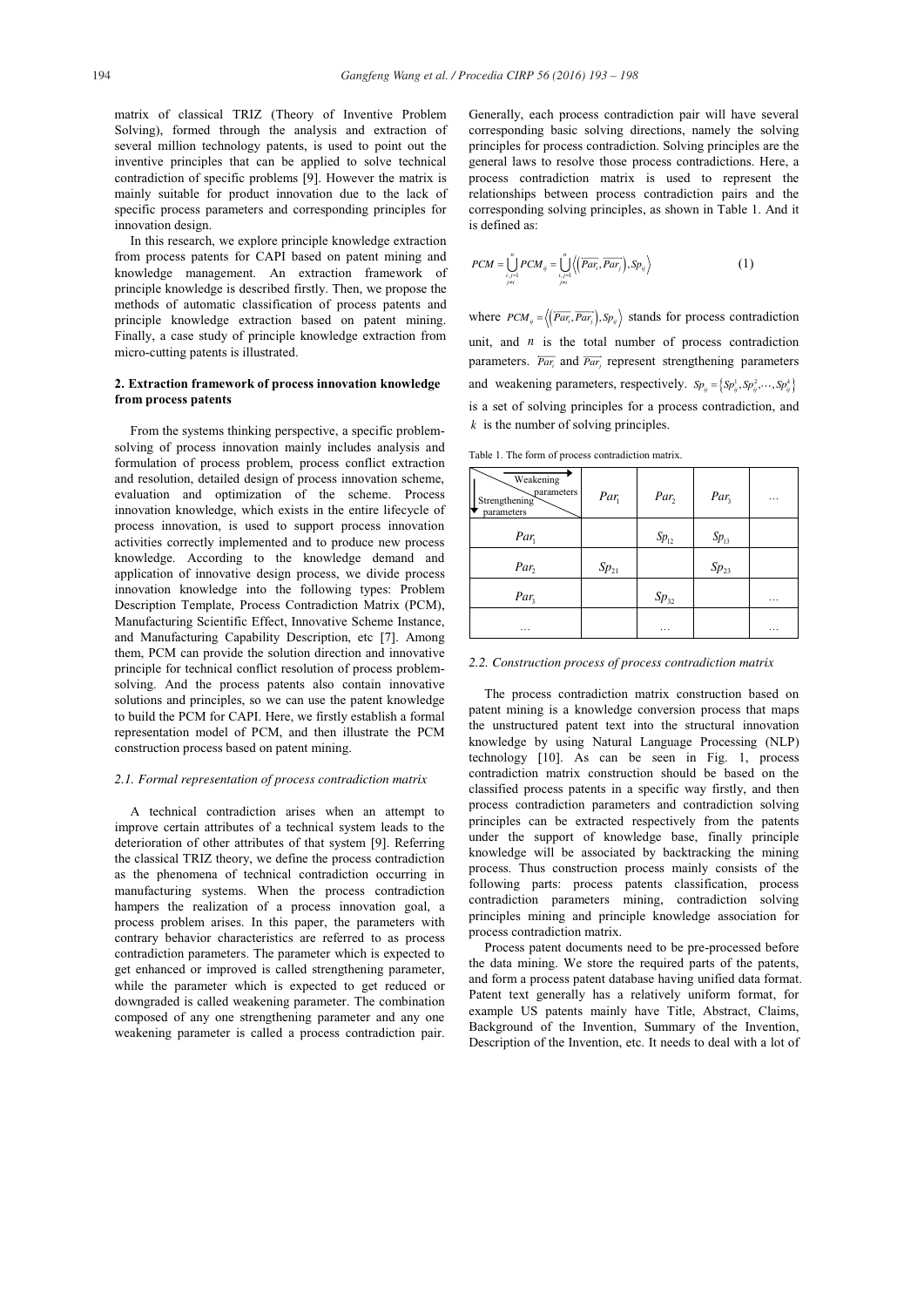matrix of classical TRIZ (Theory of Inventive Problem Solving), formed through the analysis and extraction of several million technology patents, is used to point out the inventive principles that can be applied to solve technical contradiction of specific problems [9]. However the matrix is mainly suitable for product innovation due to the lack of specific process parameters and corresponding principles for innovation design.

In this research, we explore principle knowledge extraction from process patents for CAPI based on patent mining and knowledge management. An extraction framework of principle knowledge is described firstly. Then, we propose the methods of automatic classification of process patents and principle knowledge extraction based on patent mining. Finally, a case study of principle knowledge extraction from micro-cutting patents is illustrated.

## **2. Extraction framework of process innovation knowledge from process patents**

From the systems thinking perspective, a specific problemsolving of process innovation mainly includes analysis and formulation of process problem, process conflict extraction and resolution, detailed design of process innovation scheme, evaluation and optimization of the scheme. Process innovation knowledge, which exists in the entire lifecycle of process innovation, is used to support process innovation activities correctly implemented and to produce new process knowledge. According to the knowledge demand and application of innovative design process, we divide process innovation knowledge into the following types: Problem Description Template, Process Contradiction Matrix (PCM), Manufacturing Scientific Effect, Innovative Scheme Instance, and Manufacturing Capability Description, etc [7]. Among them, PCM can provide the solution direction and innovative principle for technical conflict resolution of process problemsolving. And the process patents also contain innovative solutions and principles, so we can use the patent knowledge to build the PCM for CAPI. Here, we firstly establish a formal representation model of PCM, and then illustrate the PCM construction process based on patent mining.

## *2.1. Formal representation of process contradiction matrix*

A technical contradiction arises when an attempt to improve certain attributes of a technical system leads to the deterioration of other attributes of that system [9]. Referring the classical TRIZ theory, we define the process contradiction as the phenomena of technical contradiction occurring in manufacturing systems. When the process contradiction hampers the realization of a process innovation goal, a process problem arises. In this paper, the parameters with contrary behavior characteristics are referred to as process contradiction parameters. The parameter which is expected to get enhanced or improved is called strengthening parameter, while the parameter which is expected to get reduced or downgraded is called weakening parameter. The combination composed of any one strengthening parameter and any one weakening parameter is called a process contradiction pair. Generally, each process contradiction pair will have several corresponding basic solving directions, namely the solving principles for process contradiction. Solving principles are the general laws to resolve those process contradictions. Here, a process contradiction matrix is used to represent the relationships between process contradiction pairs and the corresponding solving principles, as shown in Table 1. And it is defined as:

$$
PCM = \bigcup_{\substack{i,j=1 \ i \neq i}}^{n} PCM_{ij} = \bigcup_{\substack{i,j=1 \ i \neq i}}^{n} \Big\langle \Big( \overline{Par_{i}}, \overline{Par_{j}} \Big), Sp_{ij} \Big\rangle \tag{1}
$$

where  $PCM_{ii} = \langle (\overrightarrow{Par_i}, \overrightarrow{Par_i}), Sp_{ii} \rangle$  stands for process contradiction unit, and *n* is the total number of process contradiction parameters.  $\overline{Par_i}$  and  $\overline{Par_i}$  represent strengthening parameters and weakening parameters, respectively.  $Sp_{ij} = \left\{ Sp_{ij}^1, Sp_{ij}^2, \cdots, Sp_{ij}^k\right\}$ is a set of solving principles for a process contradiction, and *k* is the number of solving principles.

Table 1. The form of process contradiction matrix.

| Weakening<br>parameters<br>Strengthening<br>parameters | $Par_{1}$ | $Par_{2}$ | $Par_{3}$ | .        |
|--------------------------------------------------------|-----------|-----------|-----------|----------|
| $Par_{1}$                                              |           | $Sp_{12}$ | $Sp_{13}$ |          |
| Par,                                                   | $Sp_{21}$ |           | $Sp_{23}$ |          |
| $Par_{3}$                                              |           | $Sp_{32}$ |           | $\cdots$ |
| .                                                      |           | .         |           | .        |

## *2.2. Construction process of process contradiction matrix*

The process contradiction matrix construction based on patent mining is a knowledge conversion process that maps the unstructured patent text into the structural innovation knowledge by using Natural Language Processing (NLP) technology [10]. As can be seen in Fig. 1, process contradiction matrix construction should be based on the classified process patents in a specific way firstly, and then process contradiction parameters and contradiction solving principles can be extracted respectively from the patents under the support of knowledge base, finally principle knowledge will be associated by backtracking the mining process. Thus construction process mainly consists of the following parts: process patents classification, process contradiction parameters mining, contradiction solving principles mining and principle knowledge association for process contradiction matrix.

Process patent documents need to be pre-processed before the data mining. We store the required parts of the patents, and form a process patent database having unified data format. Patent text generally has a relatively uniform format, for example US patents mainly have Title, Abstract, Claims, Background of the Invention, Summary of the Invention, Description of the Invention, etc. It needs to deal with a lot of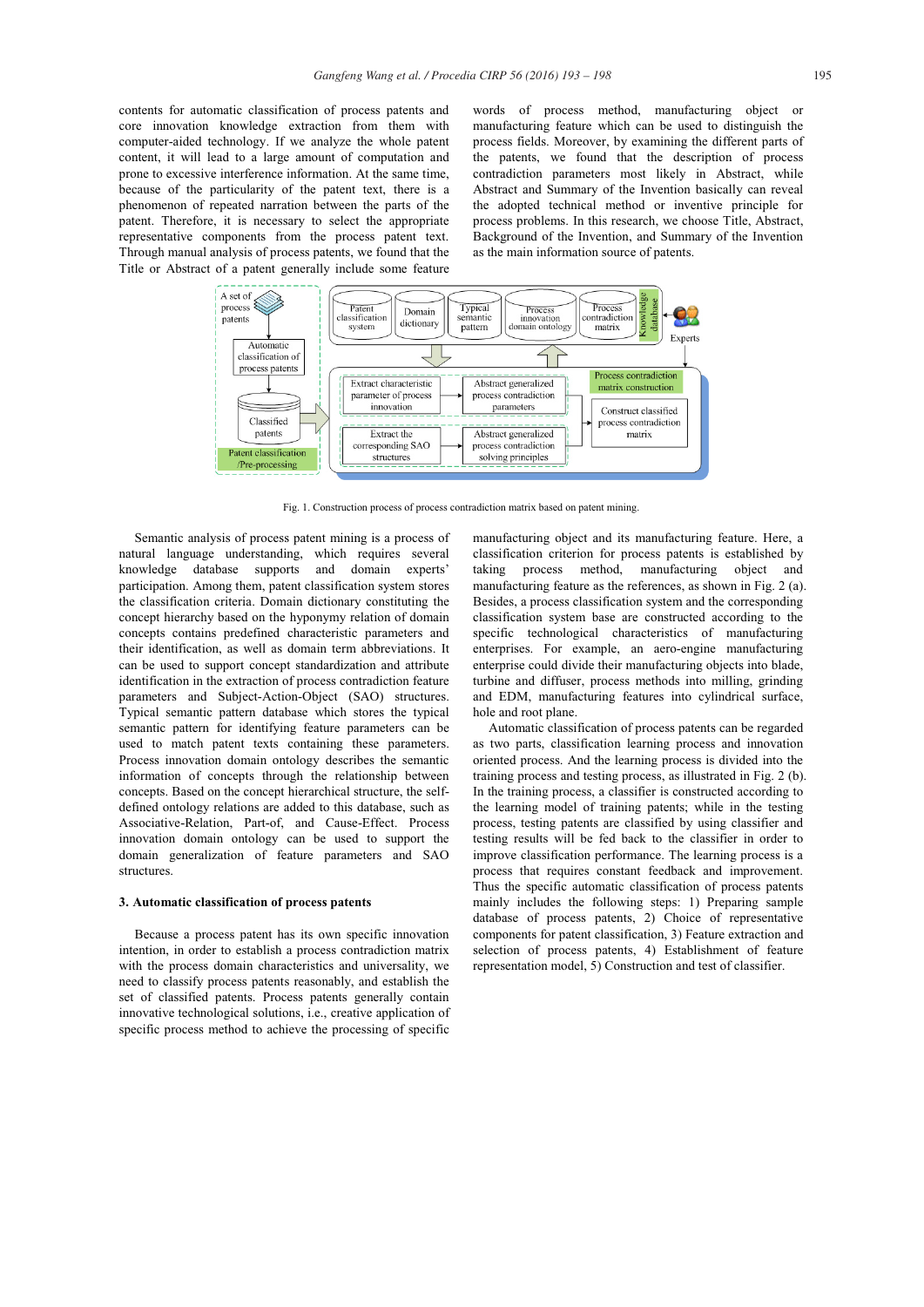contents for automatic classification of process patents and core innovation knowledge extraction from them with computer-aided technology. If we analyze the whole patent content, it will lead to a large amount of computation and prone to excessive interference information. At the same time, because of the particularity of the patent text, there is a phenomenon of repeated narration between the parts of the patent. Therefore, it is necessary to select the appropriate representative components from the process patent text. Through manual analysis of process patents, we found that the Title or Abstract of a patent generally include some feature words of process method, manufacturing object or manufacturing feature which can be used to distinguish the process fields. Moreover, by examining the different parts of the patents, we found that the description of process contradiction parameters most likely in Abstract, while Abstract and Summary of the Invention basically can reveal the adopted technical method or inventive principle for process problems. In this research, we choose Title, Abstract, Background of the Invention, and Summary of the Invention as the main information source of patents.



Fig. 1. Construction process of process contradiction matrix based on patent mining.

Semantic analysis of process patent mining is a process of natural language understanding, which requires several knowledge database supports and domain experts' participation. Among them, patent classification system stores the classification criteria. Domain dictionary constituting the concept hierarchy based on the hyponymy relation of domain concepts contains predefined characteristic parameters and their identification, as well as domain term abbreviations. It can be used to support concept standardization and attribute identification in the extraction of process contradiction feature parameters and Subject-Action-Object (SAO) structures. Typical semantic pattern database which stores the typical semantic pattern for identifying feature parameters can be used to match patent texts containing these parameters. Process innovation domain ontology describes the semantic information of concepts through the relationship between concepts. Based on the concept hierarchical structure, the selfdefined ontology relations are added to this database, such as Associative-Relation, Part-of, and Cause-Effect. Process innovation domain ontology can be used to support the domain generalization of feature parameters and SAO structures.

#### **3. Automatic classification of process patents**

Because a process patent has its own specific innovation intention, in order to establish a process contradiction matrix with the process domain characteristics and universality, we need to classify process patents reasonably, and establish the set of classified patents. Process patents generally contain innovative technological solutions, i.e., creative application of specific process method to achieve the processing of specific

manufacturing object and its manufacturing feature. Here, a classification criterion for process patents is established by taking process method, manufacturing object and manufacturing feature as the references, as shown in Fig. 2 (a). Besides, a process classification system and the corresponding classification system base are constructed according to the specific technological characteristics of manufacturing enterprises. For example, an aero-engine manufacturing enterprise could divide their manufacturing objects into blade, turbine and diffuser, process methods into milling, grinding and EDM, manufacturing features into cylindrical surface, hole and root plane.

Automatic classification of process patents can be regarded as two parts, classification learning process and innovation oriented process. And the learning process is divided into the training process and testing process, as illustrated in Fig. 2 (b). In the training process, a classifier is constructed according to the learning model of training patents; while in the testing process, testing patents are classified by using classifier and testing results will be fed back to the classifier in order to improve classification performance. The learning process is a process that requires constant feedback and improvement. Thus the specific automatic classification of process patents mainly includes the following steps: 1) Preparing sample database of process patents, 2) Choice of representative components for patent classification, 3) Feature extraction and selection of process patents, 4) Establishment of feature representation model, 5) Construction and test of classifier.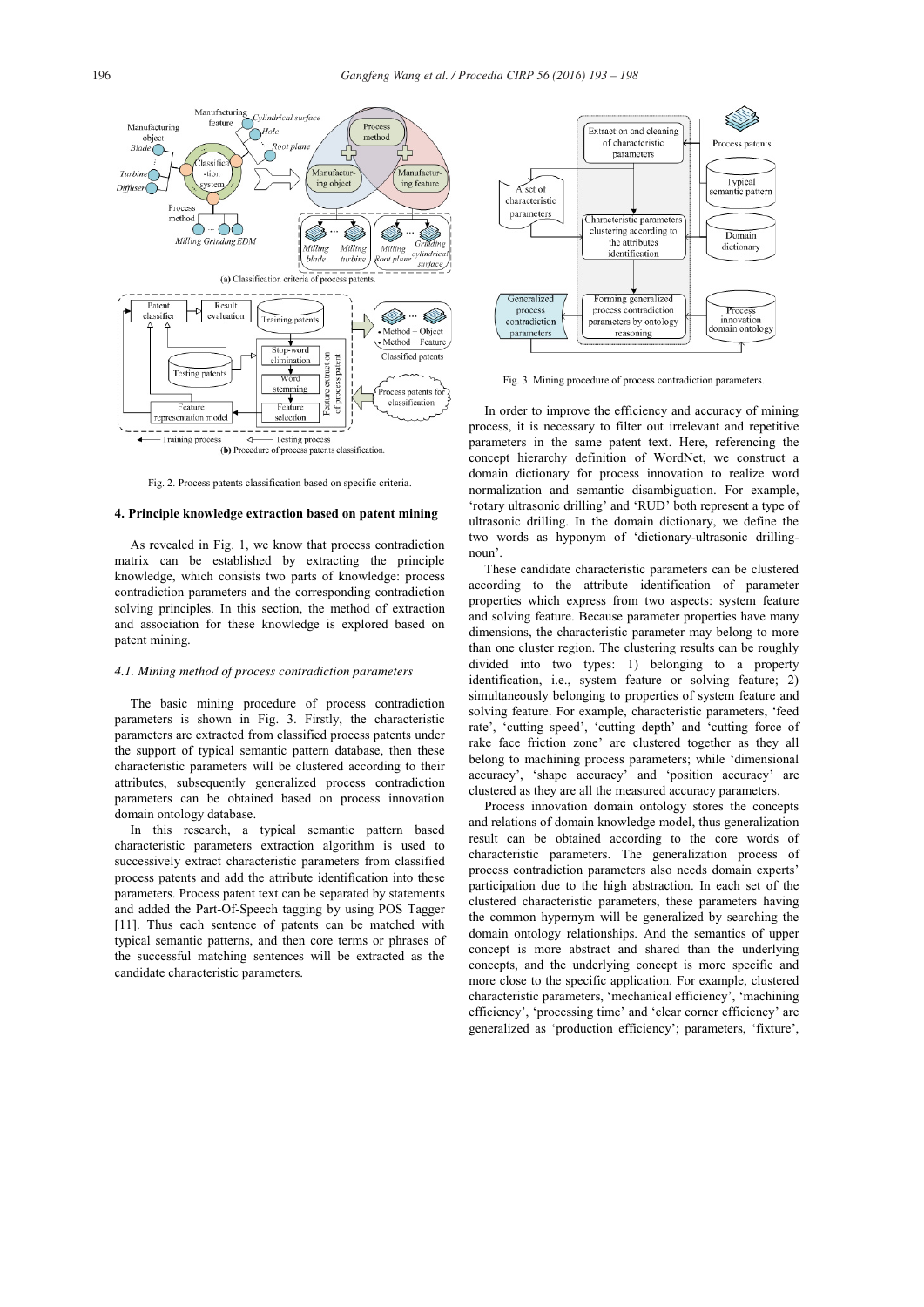

Fig. 2. Process patents classification based on specific criteria.

#### **4. Principle knowledge extraction based on patent mining**

As revealed in Fig. 1, we know that process contradiction matrix can be established by extracting the principle knowledge, which consists two parts of knowledge: process contradiction parameters and the corresponding contradiction solving principles. In this section, the method of extraction and association for these knowledge is explored based on patent mining.

## *4.1. Mining method of process contradiction parameters*

The basic mining procedure of process contradiction parameters is shown in Fig. 3. Firstly, the characteristic parameters are extracted from classified process patents under the support of typical semantic pattern database, then these characteristic parameters will be clustered according to their attributes, subsequently generalized process contradiction parameters can be obtained based on process innovation domain ontology database.

In this research, a typical semantic pattern based characteristic parameters extraction algorithm is used to successively extract characteristic parameters from classified process patents and add the attribute identification into these parameters. Process patent text can be separated by statements and added the Part-Of-Speech tagging by using POS Tagger [11]. Thus each sentence of patents can be matched with typical semantic patterns, and then core terms or phrases of the successful matching sentences will be extracted as the candidate characteristic parameters.



Fig. 3. Mining procedure of process contradiction parameters.

In order to improve the efficiency and accuracy of mining process, it is necessary to filter out irrelevant and repetitive parameters in the same patent text. Here, referencing the concept hierarchy definition of WordNet, we construct a domain dictionary for process innovation to realize word normalization and semantic disambiguation. For example, 'rotary ultrasonic drilling' and 'RUD' both represent a type of ultrasonic drilling. In the domain dictionary, we define the two words as hyponym of 'dictionary-ultrasonic drillingnoun'.

These candidate characteristic parameters can be clustered according to the attribute identification of parameter properties which express from two aspects: system feature and solving feature. Because parameter properties have many dimensions, the characteristic parameter may belong to more than one cluster region. The clustering results can be roughly divided into two types: 1) belonging to a property identification, i.e., system feature or solving feature; 2) simultaneously belonging to properties of system feature and solving feature. For example, characteristic parameters, 'feed rate', 'cutting speed', 'cutting depth' and 'cutting force of rake face friction zone' are clustered together as they all belong to machining process parameters; while 'dimensional accuracy', 'shape accuracy' and 'position accuracy' are clustered as they are all the measured accuracy parameters.

Process innovation domain ontology stores the concepts and relations of domain knowledge model, thus generalization result can be obtained according to the core words of characteristic parameters. The generalization process of process contradiction parameters also needs domain experts' participation due to the high abstraction. In each set of the clustered characteristic parameters, these parameters having the common hypernym will be generalized by searching the domain ontology relationships. And the semantics of upper concept is more abstract and shared than the underlying concepts, and the underlying concept is more specific and more close to the specific application. For example, clustered characteristic parameters, 'mechanical efficiency', 'machining efficiency', 'processing time' and 'clear corner efficiency' are generalized as 'production efficiency'; parameters, 'fixture',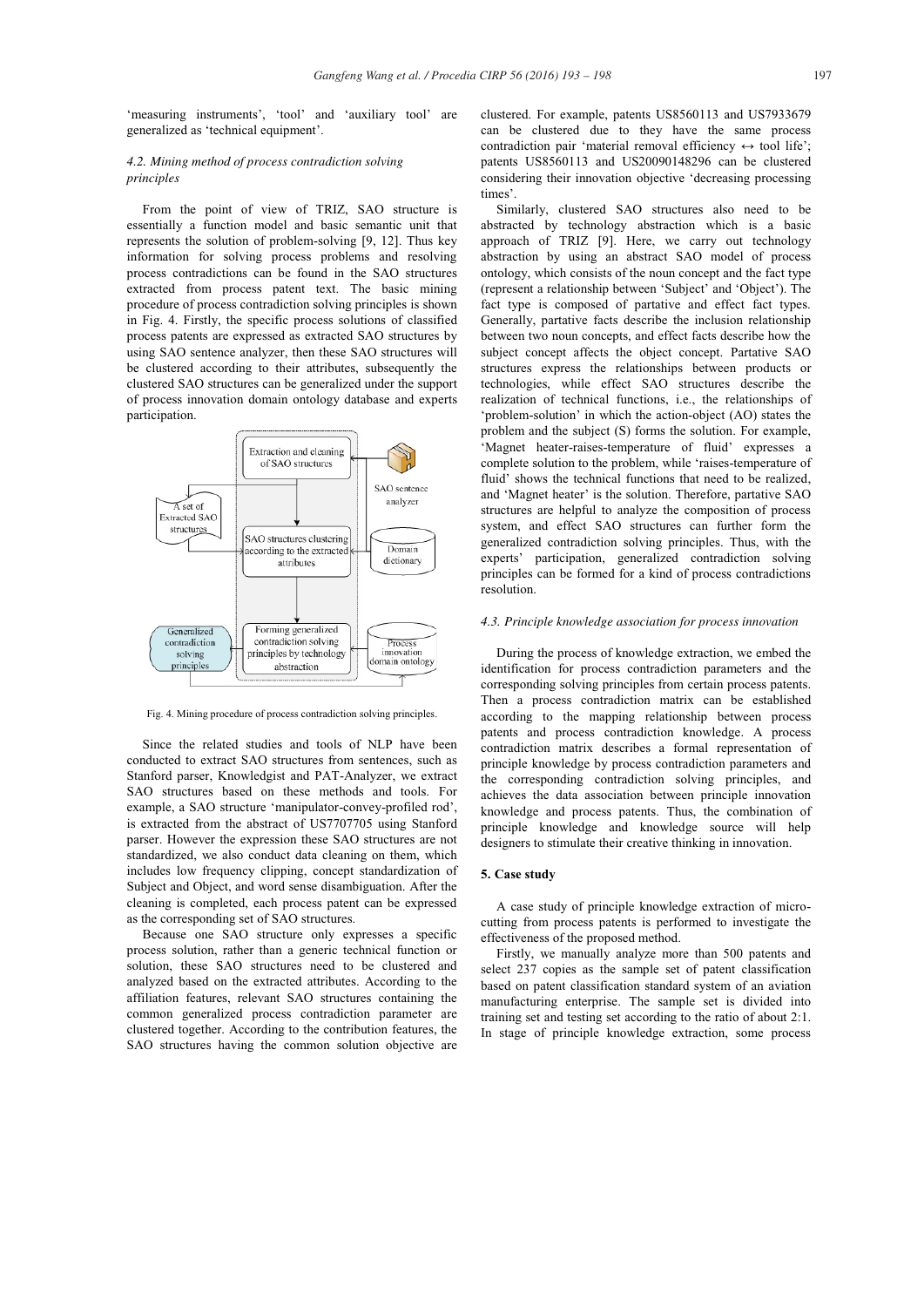'measuring instruments', 'tool' and 'auxiliary tool' are generalized as 'technical equipment'.

## *4.2. Mining method of process contradiction solving principles*

From the point of view of TRIZ, SAO structure is essentially a function model and basic semantic unit that represents the solution of problem-solving [9, 12]. Thus key information for solving process problems and resolving process contradictions can be found in the SAO structures extracted from process patent text. The basic mining procedure of process contradiction solving principles is shown in Fig. 4. Firstly, the specific process solutions of classified process patents are expressed as extracted SAO structures by using SAO sentence analyzer, then these SAO structures will be clustered according to their attributes, subsequently the clustered SAO structures can be generalized under the support of process innovation domain ontology database and experts participation.



Fig. 4. Mining procedure of process contradiction solving principles.

Since the related studies and tools of NLP have been conducted to extract SAO structures from sentences, such as Stanford parser, Knowledgist and PAT-Analyzer, we extract SAO structures based on these methods and tools. For example, a SAO structure 'manipulator-convey-profiled rod', is extracted from the abstract of US7707705 using Stanford parser. However the expression these SAO structures are not standardized, we also conduct data cleaning on them, which includes low frequency clipping, concept standardization of Subject and Object, and word sense disambiguation. After the cleaning is completed, each process patent can be expressed as the corresponding set of SAO structures.

Because one SAO structure only expresses a specific process solution, rather than a generic technical function or solution, these SAO structures need to be clustered and analyzed based on the extracted attributes. According to the affiliation features, relevant SAO structures containing the common generalized process contradiction parameter are clustered together. According to the contribution features, the SAO structures having the common solution objective are

clustered. For example, patents US8560113 and US7933679 can be clustered due to they have the same process contradiction pair 'material removal efficiency  $\leftrightarrow$  tool life'; patents US8560113 and US20090148296 can be clustered considering their innovation objective 'decreasing processing times'.

Similarly, clustered SAO structures also need to be abstracted by technology abstraction which is a basic approach of TRIZ [9]. Here, we carry out technology abstraction by using an abstract SAO model of process ontology, which consists of the noun concept and the fact type (represent a relationship between 'Subject' and 'Object'). The fact type is composed of partative and effect fact types. Generally, partative facts describe the inclusion relationship between two noun concepts, and effect facts describe how the subject concept affects the object concept. Partative SAO structures express the relationships between products or technologies, while effect SAO structures describe the realization of technical functions, i.e., the relationships of 'problem-solution' in which the action-object (AO) states the problem and the subject (S) forms the solution. For example, 'Magnet heater-raises-temperature of fluid' expresses a complete solution to the problem, while 'raises-temperature of fluid' shows the technical functions that need to be realized, and 'Magnet heater' is the solution. Therefore, partative SAO structures are helpful to analyze the composition of process system, and effect SAO structures can further form the generalized contradiction solving principles. Thus, with the experts' participation, generalized contradiction solving principles can be formed for a kind of process contradictions resolution.

#### *4.3. Principle knowledge association for process innovation*

During the process of knowledge extraction, we embed the identification for process contradiction parameters and the corresponding solving principles from certain process patents. Then a process contradiction matrix can be established according to the mapping relationship between process patents and process contradiction knowledge. A process contradiction matrix describes a formal representation of principle knowledge by process contradiction parameters and the corresponding contradiction solving principles, and achieves the data association between principle innovation knowledge and process patents. Thus, the combination of principle knowledge and knowledge source will help designers to stimulate their creative thinking in innovation.

## **5. Case study**

A case study of principle knowledge extraction of microcutting from process patents is performed to investigate the effectiveness of the proposed method.

Firstly, we manually analyze more than 500 patents and select 237 copies as the sample set of patent classification based on patent classification standard system of an aviation manufacturing enterprise. The sample set is divided into training set and testing set according to the ratio of about 2:1. In stage of principle knowledge extraction, some process